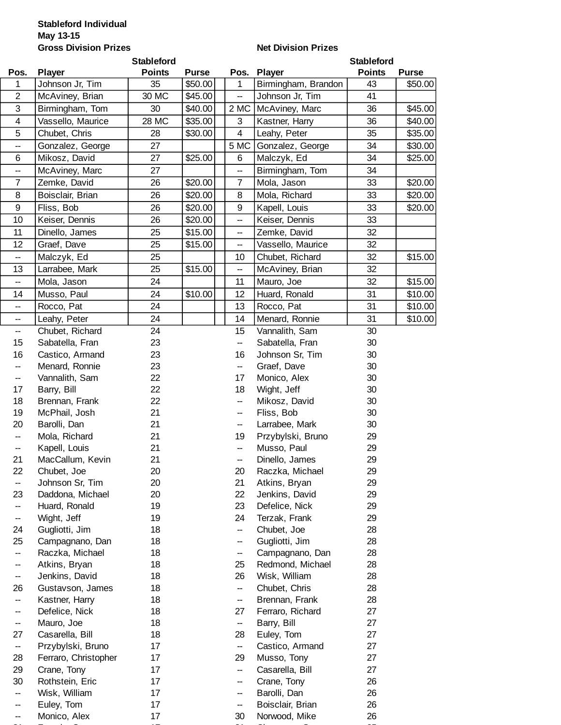## **Gross Division Prizes Stableford Individual May 13-15**

## **Net Division Prizes**

|                   |                                    | <b>Stableford</b> |              |                          |                                 | <b>Stableford</b> |              |
|-------------------|------------------------------------|-------------------|--------------|--------------------------|---------------------------------|-------------------|--------------|
| Pos.              | <b>Player</b>                      | <b>Points</b>     | <b>Purse</b> | Pos.                     | <b>Player</b>                   | <b>Points</b>     | <b>Purse</b> |
| 1                 | Johnson Jr, Tim                    | 35                | \$50.00      | $\mathbf{1}$             | Birmingham, Brandon             | 43                | \$50.00      |
| $\overline{2}$    | McAviney, Brian                    | 30 MC             | \$45.00      | $\overline{\phantom{a}}$ | Johnson Jr, Tim                 | 41                |              |
| 3                 | Birmingham, Tom                    | 30                | \$40.00      | 2 MC                     | McAviney, Marc                  | 36                | \$45.00      |
| 4                 | Vassello, Maurice                  | 28 MC             | \$35.00      | 3                        | Kastner, Harry                  | 36                | \$40.00      |
| 5                 | Chubet, Chris                      | 28                | \$30.00      | 4                        | Leahy, Peter                    | 35                | \$35.00      |
| --                | Gonzalez, George                   | 27                |              | 5 MC                     | Gonzalez, George                | 34                | \$30.00      |
| 6                 | Mikosz, David                      | 27                | \$25.00      | 6                        | Malczyk, Ed                     | 34                | \$25.00      |
| --                | McAviney, Marc                     | 27                |              | --                       | Birmingham, Tom                 | 34                |              |
| 7                 | Zemke, David                       | 26                | \$20.00      | $\overline{7}$           | Mola, Jason                     | 33                | \$20.00      |
| 8                 | Boisclair, Brian                   | 26                | \$20.00      | 8                        | Mola, Richard                   | 33                | \$20.00      |
| 9                 | Fliss, Bob                         | 26                | \$20.00      | 9                        | Kapell, Louis                   | 33                | \$20.00      |
| 10                | Keiser, Dennis                     | 26                | \$20.00      | --                       | Keiser, Dennis                  | 33                |              |
| 11                | Dinello, James                     | 25                | \$15.00      | --                       | Zemke, David                    | 32                |              |
| 12                | Graef, Dave                        | 25                | \$15.00      | $\overline{a}$           | Vassello, Maurice               | 32                |              |
| --                | Malczyk, Ed                        | 25                |              | 10                       | Chubet, Richard                 | 32                | \$15.00      |
| 13                | Larrabee, Mark                     | 25                | \$15.00      | --                       | McAviney, Brian                 | 32                |              |
| --                | Mola, Jason                        | 24                |              | 11                       | Mauro, Joe                      | 32                | \$15.00      |
| 14                | Musso, Paul                        | 24                | \$10.00      | 12                       | Huard, Ronald                   | 31                | \$10.00      |
| $\qquad \qquad -$ | Rocco, Pat                         | 24                |              | 13                       | Rocco, Pat                      | 31                | \$10.00      |
| --                | Leahy, Peter                       | 24                |              | 14                       | Menard, Ronnie                  | 31                | \$10.00      |
| --                | Chubet, Richard                    | 24                |              | 15                       | Vannalith, Sam                  | 30                |              |
| 15                | Sabatella, Fran                    | 23                |              | $\overline{\phantom{a}}$ | Sabatella, Fran                 | 30                |              |
| 16                | Castico, Armand                    | 23                |              | 16                       | Johnson Sr, Tim                 | 30                |              |
| --                | Menard, Ronnie                     | 23                |              | --                       | Graef, Dave                     | 30                |              |
| --                | Vannalith, Sam                     | 22                |              | 17                       | Monico, Alex                    | 30                |              |
| 17                | Barry, Bill                        | 22                |              | 18                       | Wight, Jeff                     | 30                |              |
| 18                | Brennan, Frank                     | 22                |              | --                       | Mikosz, David                   | 30                |              |
| 19                | McPhail, Josh                      | 21                |              | $\qquad \qquad -$        | Fliss, Bob                      | 30                |              |
| 20                | Barolli, Dan                       | 21                |              | --                       | Larrabee, Mark                  | 30                |              |
| --                | Mola, Richard                      | 21                |              | 19                       | Przybylski, Bruno               | 29                |              |
| --                | Kapell, Louis                      | 21                |              | --                       | Musso, Paul                     | 29                |              |
| 21                | MacCallum, Kevin                   | 21                |              | $-$                      | Dinello, James                  | 29                |              |
| 22                | Chubet, Joe                        | 20                |              | 20                       | Raczka, Michael                 | 29                |              |
| --                | Johnson Sr, Tim                    | 20                |              | 21                       | Atkins, Bryan                   | 29                |              |
| 23                | Daddona, Michael                   | 20                |              | 22                       | Jenkins, David                  | 29                |              |
| $\qquad \qquad -$ | Huard, Ronald                      | 19                |              | 23                       | Defelice, Nick                  | 29                |              |
| --                | Wight, Jeff                        | 19                |              | 24                       | Terzak, Frank                   | 29                |              |
| 24                | Gugliotti, Jim                     | 18                |              | --                       | Chubet, Joe                     | 28                |              |
| 25                | Campagnano, Dan                    | 18                |              | --                       | Gugliotti, Jim                  | 28                |              |
| --                | Raczka, Michael                    | 18                |              | —                        | Campagnano, Dan                 | 28                |              |
| --                | Atkins, Bryan                      | 18                |              | 25                       | Redmond, Michael                | 28<br>28          |              |
| --<br>26          | Jenkins, David<br>Gustavson, James | 18<br>18          |              | 26                       | Wisk, William                   | 28                |              |
| --                | Kastner, Harry                     | 18                |              | --<br>--                 | Chubet, Chris<br>Brennan, Frank | 28                |              |
| --                | Defelice, Nick                     | 18                |              | 27                       | Ferraro, Richard                | 27                |              |
| --                | Mauro, Joe                         | 18                |              | --                       | Barry, Bill                     | 27                |              |
| 27                | Casarella, Bill                    | 18                |              | 28                       | Euley, Tom                      | 27                |              |
| --                | Przybylski, Bruno                  | 17                |              | --                       | Castico, Armand                 | 27                |              |
| 28                | Ferraro, Christopher               | 17                |              | 29                       | Musso, Tony                     | 27                |              |
| 29                | Crane, Tony                        | 17                |              | --                       | Casarella, Bill                 | 27                |              |
| 30                | Rothstein, Eric                    | 17                |              | --                       | Crane, Tony                     | 26                |              |
| $\qquad \qquad -$ | Wisk, William                      | 17                |              | --                       | Barolli, Dan                    | 26                |              |
| --                | Euley, Tom                         | 17                |              | --                       | Boisclair, Brian                | 26                |              |
| $\qquad \qquad -$ | Monico, Alex                       | 17                |              | 30                       | Norwood, Mike                   | 26                |              |

31 F i S 17 31 Ch S 17 31 Ch S 17 31 Ch S 17 31 Ch S 17 31 Ch S 17 31 Ch S 17 31 C

 $-$